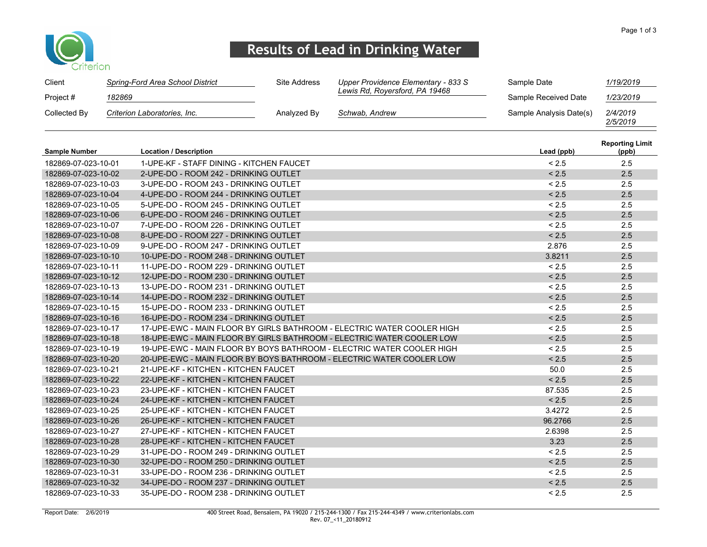

## Results of Lead in Drinking Water

| Client               |        | Spring-Ford Area School District         | Site Address | Upper Providence Elementary - 833 S                                    | Sample Date             | 1/19/2019                       |
|----------------------|--------|------------------------------------------|--------------|------------------------------------------------------------------------|-------------------------|---------------------------------|
| Project #            | 182869 |                                          |              | Lewis Rd, Royersford, PA 19468                                         | Sample Received Date    | 1/23/2019                       |
| Collected By         |        | Criterion Laboratories, Inc.             | Analyzed By  | Schwab, Andrew                                                         | Sample Analysis Date(s) | 2/4/2019<br>2/5/2019            |
| <b>Sample Number</b> |        | <b>Location / Description</b>            |              |                                                                        | Lead (ppb)              | <b>Reporting Limit</b><br>(ppb) |
| 182869-07-023-10-01  |        | 1-UPE-KF - STAFF DINING - KITCHEN FAUCET |              |                                                                        | < 2.5                   | 2.5                             |
| 182869-07-023-10-02  |        | 2-UPE-DO - ROOM 242 - DRINKING OUTLET    |              |                                                                        | < 2.5                   | 2.5                             |
| 182869-07-023-10-03  |        | 3-UPE-DO - ROOM 243 - DRINKING OUTLET    |              |                                                                        | < 2.5                   | 2.5                             |
| 182869-07-023-10-04  |        | 4-UPE-DO - ROOM 244 - DRINKING OUTLET    |              |                                                                        | < 2.5                   | 2.5                             |
| 182869-07-023-10-05  |        | 5-UPE-DO - ROOM 245 - DRINKING OUTLET    |              |                                                                        | < 2.5                   | 2.5                             |
| 182869-07-023-10-06  |        | 6-UPE-DO - ROOM 246 - DRINKING OUTLET    |              |                                                                        | < 2.5                   | 2.5                             |
| 182869-07-023-10-07  |        | 7-UPE-DO - ROOM 226 - DRINKING OUTLET    |              |                                                                        | < 2.5                   | 2.5                             |
| 182869-07-023-10-08  |        | 8-UPE-DO - ROOM 227 - DRINKING OUTLET    |              |                                                                        | < 2.5                   | 2.5                             |
| 182869-07-023-10-09  |        | 9-UPE-DO - ROOM 247 - DRINKING OUTLET    |              |                                                                        | 2.876                   | 2.5                             |
| 182869-07-023-10-10  |        | 10-UPE-DO - ROOM 248 - DRINKING OUTLET   |              |                                                                        | 3.8211                  | 2.5                             |
| 182869-07-023-10-11  |        | 11-UPE-DO - ROOM 229 - DRINKING OUTLET   |              |                                                                        | < 2.5                   | 2.5                             |
| 182869-07-023-10-12  |        | 12-UPE-DO - ROOM 230 - DRINKING OUTLET   |              |                                                                        | < 2.5                   | 2.5                             |
| 182869-07-023-10-13  |        | 13-UPE-DO - ROOM 231 - DRINKING OUTLET   |              |                                                                        | < 2.5                   | 2.5                             |
| 182869-07-023-10-14  |        | 14-UPE-DO - ROOM 232 - DRINKING OUTLET   |              |                                                                        | < 2.5                   | 2.5                             |
| 182869-07-023-10-15  |        | 15-UPE-DO - ROOM 233 - DRINKING OUTLET   |              |                                                                        | < 2.5                   | 2.5                             |
| 182869-07-023-10-16  |        | 16-UPE-DO - ROOM 234 - DRINKING OUTLET   |              |                                                                        | < 2.5                   | 2.5                             |
| 182869-07-023-10-17  |        |                                          |              | 17-UPE-EWC - MAIN FLOOR BY GIRLS BATHROOM - ELECTRIC WATER COOLER HIGH | < 2.5                   | 2.5                             |
| 182869-07-023-10-18  |        |                                          |              | 18-UPE-EWC - MAIN FLOOR BY GIRLS BATHROOM - ELECTRIC WATER COOLER LOW  | < 2.5                   | 2.5                             |
| 182869-07-023-10-19  |        |                                          |              | 19-UPE-EWC - MAIN FLOOR BY BOYS BATHROOM - ELECTRIC WATER COOLER HIGH  | < 2.5                   | 2.5                             |
| 182869-07-023-10-20  |        |                                          |              | 20-UPE-EWC - MAIN FLOOR BY BOYS BATHROOM - ELECTRIC WATER COOLER LOW   | < 2.5                   | 2.5                             |
| 182869-07-023-10-21  |        | 21-UPE-KF - KITCHEN - KITCHEN FAUCET     |              |                                                                        | 50.0                    | 2.5                             |
| 182869-07-023-10-22  |        | 22-UPE-KF - KITCHEN - KITCHEN FAUCET     |              |                                                                        | < 2.5                   | 2.5                             |
| 182869-07-023-10-23  |        | 23-UPE-KF - KITCHEN - KITCHEN FAUCET     |              |                                                                        | 87.535                  | 2.5                             |
| 182869-07-023-10-24  |        | 24-UPE-KF - KITCHEN - KITCHEN FAUCET     |              |                                                                        | < 2.5                   | 2.5                             |
| 182869-07-023-10-25  |        | 25-UPE-KF - KITCHEN - KITCHEN FAUCET     |              |                                                                        | 3.4272                  | 2.5                             |
| 182869-07-023-10-26  |        | 26-UPE-KF - KITCHEN - KITCHEN FAUCET     |              |                                                                        | 96.2766                 | 2.5                             |
| 182869-07-023-10-27  |        | 27-UPE-KF - KITCHEN - KITCHEN FAUCET     |              |                                                                        | 2.6398                  | 2.5                             |
| 182869-07-023-10-28  |        | 28-UPE-KF - KITCHEN - KITCHEN FAUCET     |              |                                                                        | 3.23                    | 2.5                             |
| 182869-07-023-10-29  |        | 31-UPE-DO - ROOM 249 - DRINKING OUTLET   |              |                                                                        | < 2.5                   | 2.5                             |
| 182869-07-023-10-30  |        | 32-UPE-DO - ROOM 250 - DRINKING OUTLET   |              |                                                                        | < 2.5                   | 2.5                             |
| 182869-07-023-10-31  |        | 33-UPE-DO - ROOM 236 - DRINKING OUTLET   |              |                                                                        | < 2.5                   | 2.5                             |
| 182869-07-023-10-32  |        | 34-UPE-DO - ROOM 237 - DRINKING OUTLET   |              |                                                                        | < 2.5                   | 2.5                             |
| 182869-07-023-10-33  |        | 35-UPE-DO - ROOM 238 - DRINKING OUTLET   |              |                                                                        | < 2.5                   | 2.5                             |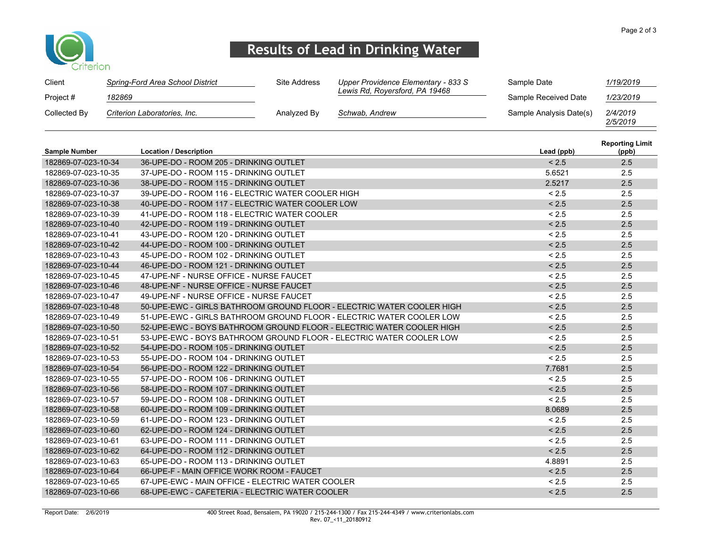

## Results of Lead in Drinking Water

| Client       | Spring-Ford Area School District | Site Address | Upper Providence Elementary - 833 S | Sample Date             | 1/19/2019            |
|--------------|----------------------------------|--------------|-------------------------------------|-------------------------|----------------------|
| Project #    | 182869                           |              | Lewis Rd, Roversford, PA 19468      | Sample Received Date    | 1/23/2019            |
| Collected By | Criterion Laboratories, Inc.     | Analyzed By  | Schwab, Andrew                      | Sample Analysis Date(s) | 2/4/2019<br>2/5/2019 |

| <b>Sample Number</b> | <b>Location / Description</b>                                         | Lead (ppb) | <b>Reporting Limit</b><br>(ppb) |
|----------------------|-----------------------------------------------------------------------|------------|---------------------------------|
| 182869-07-023-10-34  | 36-UPE-DO - ROOM 205 - DRINKING OUTLET                                | < 2.5      | 2.5                             |
| 182869-07-023-10-35  | 37-UPE-DO - ROOM 115 - DRINKING OUTLET                                | 5.6521     | 2.5                             |
| 182869-07-023-10-36  | 38-UPE-DO - ROOM 115 - DRINKING OUTLET                                | 2.5217     | 2.5                             |
| 182869-07-023-10-37  | 39-UPE-DO - ROOM 116 - ELECTRIC WATER COOLER HIGH                     | < 2.5      | 2.5                             |
| 182869-07-023-10-38  | 40-UPE-DO - ROOM 117 - ELECTRIC WATER COOLER LOW                      | < 2.5      | 2.5                             |
| 182869-07-023-10-39  | 41-UPE-DO - ROOM 118 - ELECTRIC WATER COOLER                          | < 2.5      | 2.5                             |
| 182869-07-023-10-40  | 42-UPE-DO - ROOM 119 - DRINKING OUTLET                                | < 2.5      | 2.5                             |
| 182869-07-023-10-41  | 43-UPE-DO - ROOM 120 - DRINKING OUTLET                                | < 2.5      | 2.5                             |
| 182869-07-023-10-42  | 44-UPE-DO - ROOM 100 - DRINKING OUTLET                                | < 2.5      | 2.5                             |
| 182869-07-023-10-43  | 45-UPE-DO - ROOM 102 - DRINKING OUTLET                                | < 2.5      | 2.5                             |
| 182869-07-023-10-44  | 46-UPE-DO - ROOM 121 - DRINKING OUTLET                                | < 2.5      | 2.5                             |
| 182869-07-023-10-45  | 47-UPE-NF - NURSE OFFICE - NURSE FAUCET                               | < 2.5      | 2.5                             |
| 182869-07-023-10-46  | 48-UPE-NF - NURSE OFFICE - NURSE FAUCET                               | < 2.5      | 2.5                             |
| 182869-07-023-10-47  | 49-UPE-NF - NURSE OFFICE - NURSE FAUCET                               | < 2.5      | 2.5                             |
| 182869-07-023-10-48  | 50-UPE-EWC - GIRLS BATHROOM GROUND FLOOR - ELECTRIC WATER COOLER HIGH | < 2.5      | 2.5                             |
| 182869-07-023-10-49  | 51-UPE-EWC - GIRLS BATHROOM GROUND FLOOR - ELECTRIC WATER COOLER LOW  | < 2.5      | 2.5                             |
| 182869-07-023-10-50  | 52-UPE-EWC - BOYS BATHROOM GROUND FLOOR - ELECTRIC WATER COOLER HIGH  | < 2.5      | 2.5                             |
| 182869-07-023-10-51  | 53-UPE-EWC - BOYS BATHROOM GROUND FLOOR - ELECTRIC WATER COOLER LOW   | < 2.5      | 2.5                             |
| 182869-07-023-10-52  | 54-UPE-DO - ROOM 105 - DRINKING OUTLET                                | < 2.5      | 2.5                             |
| 182869-07-023-10-53  | 55-UPE-DO - ROOM 104 - DRINKING OUTLET                                | < 2.5      | 2.5                             |
| 182869-07-023-10-54  | 56-UPE-DO - ROOM 122 - DRINKING OUTLET                                | 7.7681     | 2.5                             |
| 182869-07-023-10-55  | 57-UPE-DO - ROOM 106 - DRINKING OUTLET                                | < 2.5      | 2.5                             |
| 182869-07-023-10-56  | 58-UPE-DO - ROOM 107 - DRINKING OUTLET                                | < 2.5      | 2.5                             |
| 182869-07-023-10-57  | 59-UPE-DO - ROOM 108 - DRINKING OUTLET                                | < 2.5      | 2.5                             |
| 182869-07-023-10-58  | 60-UPE-DO - ROOM 109 - DRINKING OUTLET                                | 8.0689     | 2.5                             |
| 182869-07-023-10-59  | 61-UPE-DO - ROOM 123 - DRINKING OUTLET                                | < 2.5      | 2.5                             |
| 182869-07-023-10-60  | 62-UPE-DO - ROOM 124 - DRINKING OUTLET                                | < 2.5      | 2.5                             |
| 182869-07-023-10-61  | 63-UPE-DO - ROOM 111 - DRINKING OUTLET                                | < 2.5      | 2.5                             |
| 182869-07-023-10-62  | 64-UPE-DO - ROOM 112 - DRINKING OUTLET                                | < 2.5      | 2.5                             |
| 182869-07-023-10-63  | 65-UPE-DO - ROOM 113 - DRINKING OUTLET                                | 4.8891     | 2.5                             |
| 182869-07-023-10-64  | 66-UPE-F - MAIN OFFICE WORK ROOM - FAUCET                             | < 2.5      | 2.5                             |
| 182869-07-023-10-65  | 67-UPE-EWC - MAIN OFFICE - ELECTRIC WATER COOLER                      | < 2.5      | 2.5                             |
| 182869-07-023-10-66  | 68-UPE-EWC - CAFETERIA - ELECTRIC WATER COOLER                        | < 2.5      | 2.5                             |